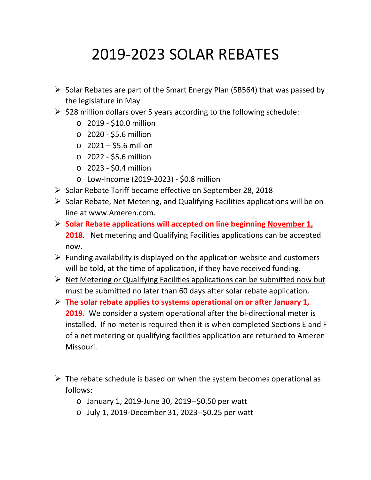## 2019-2023 SOLAR REBATES

- $\triangleright$  Solar Rebates are part of the Smart Energy Plan (SB564) that was passed by the legislature in May
- $\geq$  \$28 million dollars over 5 years according to the following schedule:
	- o 2019 \$10.0 million
	- o 2020 \$5.6 million
	- o 2021 \$5.6 million
	- o 2022 \$5.6 million
	- o 2023 \$0.4 million
	- o Low-Income (2019-2023) \$0.8 million
- $\triangleright$  Solar Rebate Tariff became effective on September 28, 2018
- $\triangleright$  Solar Rebate, Net Metering, and Qualifying Facilities applications will be on line at www.Ameren.com.
- **Solar Rebate applications will accepted on line beginning November 1, 2018**. Net metering and Qualifying Facilities applications can be accepted now.
- $\triangleright$  Funding availability is displayed on the application website and customers will be told, at the time of application, if they have received funding.
- $\triangleright$  Net Metering or Qualifying Facilities applications can be submitted now but must be submitted no later than 60 days after solar rebate application.
- **The solar rebate applies to systems operational on or after January 1, 2019.** We consider a system operational after the bi-directional meter is installed. If no meter is required then it is when completed Sections E and F of a net metering or qualifying facilities application are returned to Ameren Missouri.
- $\triangleright$  The rebate schedule is based on when the system becomes operational as follows:
	- o January 1, 2019-June 30, 2019--\$0.50 per watt
	- o July 1, 2019-December 31, 2023--\$0.25 per watt